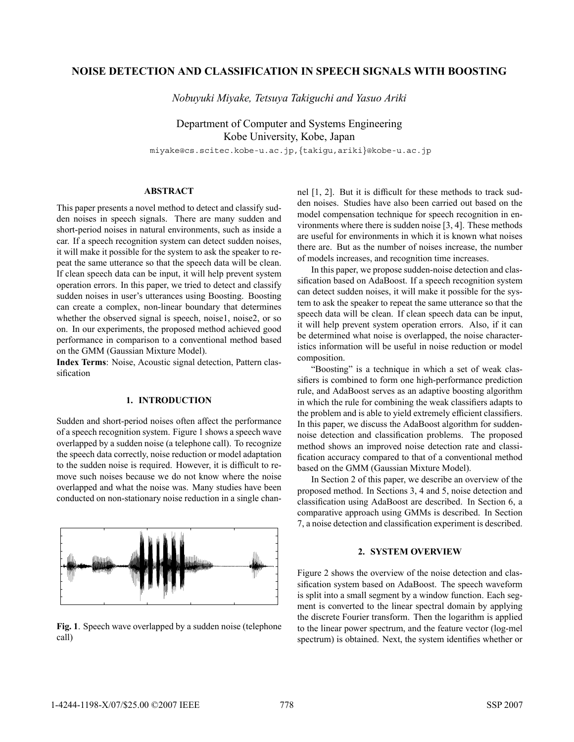# **NOISE DETECTION AND CLASSIFICATION IN SPEECH SIGNALS WITH BOOSTING**

*Nobuyuki Miyake, Tetsuya Takiguchi and Yasuo Ariki*

Department of Computer and Systems Engineering Kobe University, Kobe, Japan

miyake@cs.scitec.kobe-u.ac.jp,{takigu,ariki}@kobe-u.ac.jp

## **ABSTRACT**

This paper presents a novel method to detect and classify sudden noises in speech signals. There are many sudden and short-period noises in natural environments, such as inside a car. If a speech recognition system can detect sudden noises, it will make it possible for the system to ask the speaker to repeat the same utterance so that the speech data will be clean. If clean speech data can be input, it will help prevent system operation errors. In this paper, we tried to detect and classify sudden noises in user's utterances using Boosting. Boosting can create a complex, non-linear boundary that determines whether the observed signal is speech, noise1, noise2, or so on. In our experiments, the proposed method achieved good performance in comparison to a conventional method based on the GMM (Gaussian Mixture Model).

**Index Terms**: Noise, Acoustic signal detection, Pattern classification

#### **1. INTRODUCTION**

Sudden and short-period noises often affect the performance of a speech recognition system. Figure 1 shows a speech wave overlapped by a sudden noise (a telephone call). To recognize the speech data correctly, noise reduction or model adaptation to the sudden noise is required. However, it is difficult to remove such noises because we do not know where the noise overlapped and what the noise was. Many studies have been conducted on non-stationary noise reduction in a single chan-



**Fig. 1**. Speech wave overlapped by a sudden noise (telephone call)

nel [1, 2]. But it is difficult for these methods to track sudden noises. Studies have also been carried out based on the model compensation technique for speech recognition in environments where there is sudden noise [3, 4]. These methods are useful for environments in which it is known what noises there are. But as the number of noises increase, the number of models increases, and recognition time increases.

In this paper, we propose sudden-noise detection and classification based on AdaBoost. If a speech recognition system can detect sudden noises, it will make it possible for the system to ask the speaker to repeat the same utterance so that the speech data will be clean. If clean speech data can be input, it will help prevent system operation errors. Also, if it can be determined what noise is overlapped, the noise characteristics information will be useful in noise reduction or model composition.

"Boosting" is a technique in which a set of weak classifiers is combined to form one high-performance prediction rule, and AdaBoost serves as an adaptive boosting algorithm in which the rule for combining the weak classifiers adapts to the problem and is able to yield extremely efficient classifiers. In this paper, we discuss the AdaBoost algorithm for suddennoise detection and classification problems. The proposed method shows an improved noise detection rate and classification accuracy compared to that of a conventional method based on the GMM (Gaussian Mixture Model).

In Section 2 of this paper, we describe an overview of the proposed method. In Sections 3, 4 and 5, noise detection and classification using AdaBoost are described. In Section 6, a comparative approach using GMMs is described. In Section 7, a noise detection and classification experiment is described.

#### **2. SYSTEM OVERVIEW**

Figure 2 shows the overview of the noise detection and classification system based on AdaBoost. The speech waveform is split into a small segment by a window function. Each segment is converted to the linear spectral domain by applying the discrete Fourier transform. Then the logarithm is applied to the linear power spectrum, and the feature vector (log-mel spectrum) is obtained. Next, the system identifies whether or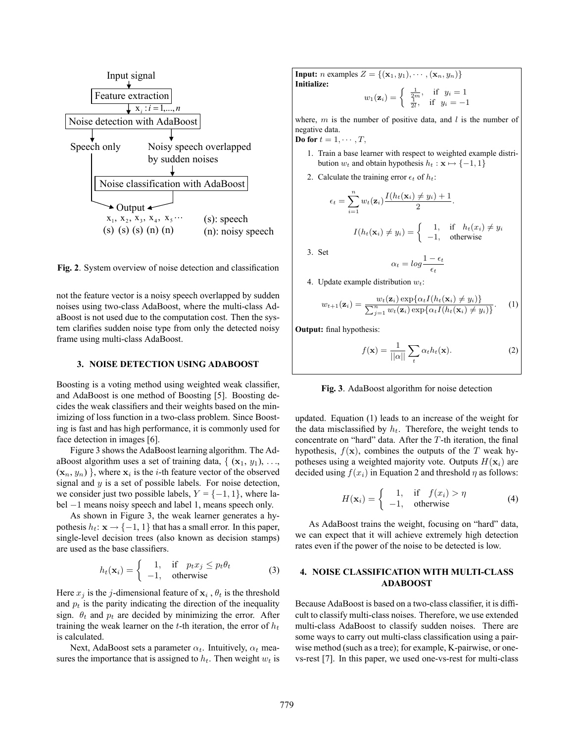

**Fig. 2**. System overview of noise detection and classification

not the feature vector is a noisy speech overlapped by sudden noises using two-class AdaBoost, where the multi-class AdaBoost is not used due to the computation cost. Then the system clarifies sudden noise type from only the detected noisy frame using multi-class AdaBoost.

#### **3. NOISE DETECTION USING ADABOOST**

Boosting is a voting method using weighted weak classifier, and AdaBoost is one method of Boosting [5]. Boosting decides the weak classifiers and their weights based on the minimizing of loss function in a two-class problem. Since Boosting is fast and has high performance, it is commonly used for face detection in images [6].

Figure 3 shows the AdaBoost learning algorithm. The AdaBoost algorithm uses a set of training data,  $\{(\mathbf{x}_1, y_1), \ldots,$  $(\mathbf{x}_n, y_n)$ , where  $\mathbf{x}_i$  is the *i*-th feature vector of the observed signal and  $y$  is a set of possible labels. For noise detection, we consider just two possible labels,  $Y = \{-1, 1\}$ , where label <sup>−</sup>1 means noisy speech and label 1, means speech only.

As shown in Figure 3, the weak learner generates a hypothesis  $h_t: \mathbf{x} \to \{-1, 1\}$  that has a small error. In this paper, single-level decision trees (also known as decision stamps) are used as the base classifiers.

$$
h_t(\mathbf{x}_i) = \begin{cases} 1, & \text{if } p_t x_j \le p_t \theta_t \\ -1, & \text{otherwise} \end{cases}
$$
 (3)

Here  $x_i$  is the j-dimensional feature of  $x_i$ ,  $\theta_t$  is the threshold and  $p_t$  is the parity indicating the direction of the inequality sign.  $\theta_t$  and  $p_t$  are decided by minimizing the error. After training the weak learner on the t-th iteration, the error of  $h_t$ is calculated.

Next, AdaBoost sets a parameter  $\alpha_t$ . Intuitively,  $\alpha_t$  measures the importance that is assigned to  $h_t$ . Then weight  $w_t$  is

**Input:** *n* examples  $Z = \{({\bf x}_1, y_1), \cdots, ({\bf x}_n, y_n)\}$ **Initialize:**

$$
w_1(\mathbf{z}_i) = \begin{cases} \frac{1}{2m}, & \text{if } y_i = 1\\ \frac{1}{2i}, & \text{if } y_i = -1 \end{cases}
$$

where,  $m$  is the number of positive data, and  $l$  is the number of negative data.

**Do for**  $t = 1, \dots, T$ ,

- 1. Train a base learner with respect to weighted example distribution  $w_t$  and obtain hypothesis  $h_t : \mathbf{x} \mapsto \{-1, 1\}$
- 2. Calculate the training error  $\epsilon_t$  of  $h_t$ :

$$
\epsilon_t = \sum_{i=1}^n w_t(\mathbf{z}_i) \frac{I(h_t(\mathbf{x}_i) \neq y_i) + 1}{2}.
$$

$$
I(h_t(\mathbf{x}_i) \neq y_i) = \begin{cases} 1, & \text{if } h_t(x_i) \neq y_i \\ -1, & \text{otherwise} \end{cases}
$$

3. Set

$$
\alpha_t = log \frac{1 - \epsilon_t}{\epsilon_t}
$$

4. Update example distribution  $w_t$ :

$$
w_{t+1}(\mathbf{z}_i) = \frac{w_t(\mathbf{z}_i) \exp\{\alpha_t I(h_t(\mathbf{x}_i) \neq y_i)\}}{\sum_{j=1}^n w_t(\mathbf{z}_i) \exp\{\alpha_t I(h_t(\mathbf{x}_i) \neq y_i)\}}.
$$
 (1)

**Output:** final hypothesis:

$$
f(\mathbf{x}) = \frac{1}{||\alpha||} \sum_{t} \alpha_t h_t(\mathbf{x}).
$$
 (2)

**Fig. 3**. AdaBoost algorithm for noise detection

updated. Equation (1) leads to an increase of the weight for the data misclassified by  $h_t$ . Therefore, the weight tends to concentrate on "hard" data. After the T-th iteration, the final hypothesis,  $f(\mathbf{x})$ , combines the outputs of the T weak hypotheses using a weighted majority vote. Outputs  $H(\mathbf{x}_i)$  are decided using  $f(x_i)$  in Equation 2 and threshold  $\eta$  as follows:

$$
H(\mathbf{x}_i) = \begin{cases} 1, & \text{if } f(x_i) > \eta \\ -1, & \text{otherwise} \end{cases}
$$
 (4)

As AdaBoost trains the weight, focusing on "hard" data, we can expect that it will achieve extremely high detection rates even if the power of the noise to be detected is low.

### **4. NOISE CLASSIFICATION WITH MULTI-CLASS ADABOOST**

Because AdaBoost is based on a two-class classifier, it is difficult to classify multi-class noises. Therefore, we use extended multi-class AdaBoost to classify sudden noises. There are some ways to carry out multi-class classification using a pairwise method (such as a tree); for example, K-pairwise, or onevs-rest [7]. In this paper, we used one-vs-rest for multi-class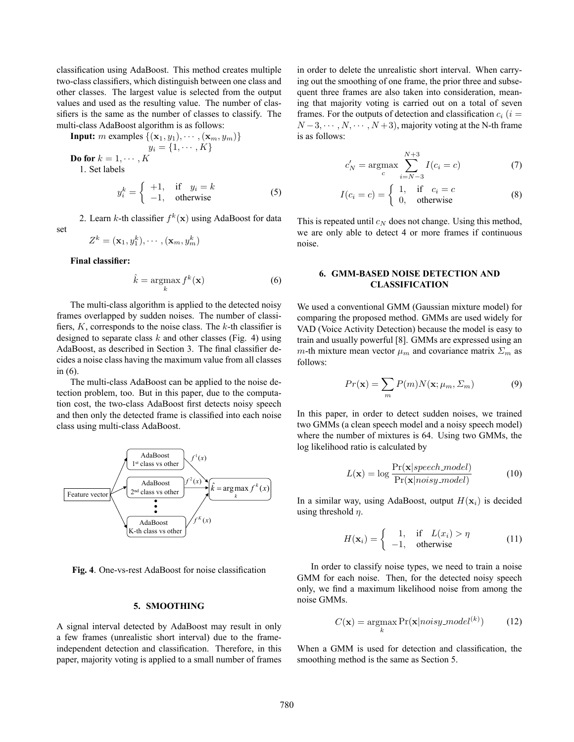classification using AdaBoost. This method creates multiple two-class classifiers, which distinguish between one class and other classes. The largest value is selected from the output values and used as the resulting value. The number of classifiers is the same as the number of classes to classify. The multi-class AdaBoost algorithm is as follows:

**Input:** 
$$
m
$$
 examples  $\{(x_1, y_1), \dots, (x_m, y_m)\}$   
\n $y_i = \{1, \dots, K\}$   
\n**Do for**  $k = 1, \dots, K$   
\n1. Set labels

$$
y_i^k = \begin{cases} +1, & \text{if } y_i = k \\ -1, & \text{otherwise} \end{cases}
$$
 (5)

2. Learn k-th classifier  $f^k(\mathbf{x})$  using AdaBoost for data

$$
Z^k = (\mathbf{x}_1, y_1^k), \cdots, (\mathbf{x}_m, y_m^k)
$$

**Final classifier:**

set

$$
\hat{k} = \underset{k}{\operatorname{argmax}} f^k(\mathbf{x})
$$
\n(6)

The multi-class algorithm is applied to the detected noisy frames overlapped by sudden noises. The number of classifiers,  $K$ , corresponds to the noise class. The  $k$ -th classifier is designed to separate class  $k$  and other classes (Fig. 4) using AdaBoost, as described in Section 3. The final classifier decides a noise class having the maximum value from all classes in (6).

The multi-class AdaBoost can be applied to the noise detection problem, too. But in this paper, due to the computation cost, the two-class AdaBoost first detects noisy speech and then only the detected frame is classified into each noise class using multi-class AdaBoost.



**Fig. 4**. One-vs-rest AdaBoost for noise classification

#### **5. SMOOTHING**

A signal interval detected by AdaBoost may result in only a few frames (unrealistic short interval) due to the frameindependent detection and classification. Therefore, in this paper, majority voting is applied to a small number of frames

in order to delete the unrealistic short interval. When carrying out the smoothing of one frame, the prior three and subsequent three frames are also taken into consideration, meaning that majority voting is carried out on a total of seven frames. For the outputs of detection and classification  $c_i$  (i =  $N-3, \cdots, N, \cdots, N+3$ , majority voting at the N-th frame is as follows:

$$
c'_{N} = \underset{c}{\text{argmax}} \sum_{i=N-3}^{N+3} I(c_i = c) \tag{7}
$$

$$
I(c_i = c) = \begin{cases} 1, & \text{if } c_i = c \\ 0, & \text{otherwise} \end{cases}
$$
 (8)

This is repeated until  $c_N$  does not change. Using this method, we are only able to detect 4 or more frames if continuous noise.

### **6. GMM-BASED NOISE DETECTION AND CLASSIFICATION**

We used a conventional GMM (Gaussian mixture model) for comparing the proposed method. GMMs are used widely for VAD (Voice Activity Detection) because the model is easy to train and usually powerful [8]. GMMs are expressed using an m-th mixture mean vector  $\mu_m$  and covariance matrix  $\Sigma_m$  as follows:

$$
Pr(\mathbf{x}) = \sum_{m} P(m)N(\mathbf{x}; \mu_m, \Sigma_m)
$$
 (9)

In this paper, in order to detect sudden noises, we trained two GMMs (a clean speech model and a noisy speech model) where the number of mixtures is 64. Using two GMMs, the log likelihood ratio is calculated by

$$
L(\mathbf{x}) = \log \frac{\Pr(\mathbf{x} | speech\_model)}{\Pr(\mathbf{x} | noisy\_model)} \tag{10}
$$

In a similar way, using AdaBoost, output  $H(\mathbf{x}_i)$  is decided using threshold  $\eta$ .

$$
H(\mathbf{x}_i) = \begin{cases} 1, & \text{if } L(x_i) > \eta \\ -1, & \text{otherwise} \end{cases}
$$
 (11)

In order to classify noise types, we need to train a noise GMM for each noise. Then, for the detected noisy speech only, we find a maximum likelihood noise from among the noise GMMs.

$$
C(\mathbf{x}) = \underset{k}{\operatorname{argmax}} \Pr(\mathbf{x} | noisy\_model^{(k)}) \tag{12}
$$

When a GMM is used for detection and classification, the smoothing method is the same as Section 5.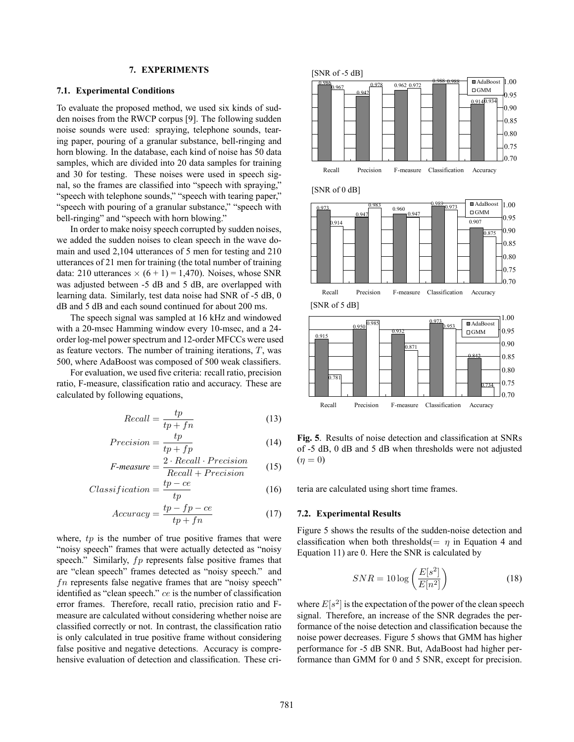## **7. EXPERIMENTS**

#### **7.1. Experimental Conditions**

To evaluate the proposed method, we used six kinds of sudden noises from the RWCP corpus [9]. The following sudden noise sounds were used: spraying, telephone sounds, tearing paper, pouring of a granular substance, bell-ringing and horn blowing. In the database, each kind of noise has 50 data samples, which are divided into 20 data samples for training and 30 for testing. These noises were used in speech signal, so the frames are classified into "speech with spraying," "speech with telephone sounds," "speech with tearing paper," "speech with pouring of a granular substance," "speech with bell-ringing" and "speech with horn blowing."

In order to make noisy speech corrupted by sudden noises, we added the sudden noises to clean speech in the wave domain and used 2,104 utterances of 5 men for testing and 210 utterances of 21 men for training (the total number of training data: 210 utterances  $\times$  (6 + 1) = 1,470). Noises, whose SNR was adjusted between -5 dB and 5 dB, are overlapped with learning data. Similarly, test data noise had SNR of -5 dB, 0 dB and 5 dB and each sound continued for about 200 ms.

The speech signal was sampled at 16 kHz and windowed with a 20-msec Hamming window every 10-msec, and a 24 order log-mel power spectrum and 12-order MFCCs were used as feature vectors. The number of training iterations,  $T$ , was 500, where AdaBoost was composed of 500 weak classifiers.

For evaluation, we used five criteria: recall ratio, precision ratio, F-measure, classification ratio and accuracy. These are calculated by following equations,

$$
Recall = \frac{tp}{tp + fn}
$$
\n(13)

$$
Precision = \frac{tp}{tp + fp}
$$
 (14)

$$
F\text{-}measure = \frac{2 \cdot Recall \cdot Precision}{Recall + Precision} \qquad (15)
$$

$$
t_n - ce
$$

$$
Classification = \frac{tp - ce}{tp} \tag{16}
$$

$$
Accuracy = \frac{tp - fp - ce}{tp + fn} \tag{17}
$$

where,  $tp$  is the number of true positive frames that were "noisy speech" frames that were actually detected as "noisy speech." Similarly,  $fp$  represents false positive frames that are "clean speech" frames detected as "noisy speech." and  $fn$  represents false negative frames that are "noisy speech" identified as "clean speech." ce is the number of classification error frames. Therefore, recall ratio, precision ratio and Fmeasure are calculated without considering whether noise are classified correctly or not. In contrast, the classification ratio is only calculated in true positive frame without considering false positive and negative detections. Accuracy is comprehensive evaluation of detection and classification. These cri-



**Fig. 5**. Results of noise detection and classification at SNRs of -5 dB, 0 dB and 5 dB when thresholds were not adjusted  $(\eta = 0)$ 

teria are calculated using short time frames.

#### **7.2. Experimental Results**

Figure 5 shows the results of the sudden-noise detection and classification when both thresholds  $(=\eta)$  in Equation 4 and Equation 11) are 0. Here the SNR is calculated by

$$
SNR = 10\log\left(\frac{E[s^2]}{E[n^2]}\right) \tag{18}
$$

where  $E[s^2]$  is the expectation of the power of the clean speech signal. Therefore, an increase of the SNR degrades the performance of the noise detection and classification because the noise power decreases. Figure 5 shows that GMM has higher performance for -5 dB SNR. But, AdaBoost had higher performance than GMM for 0 and 5 SNR, except for precision.